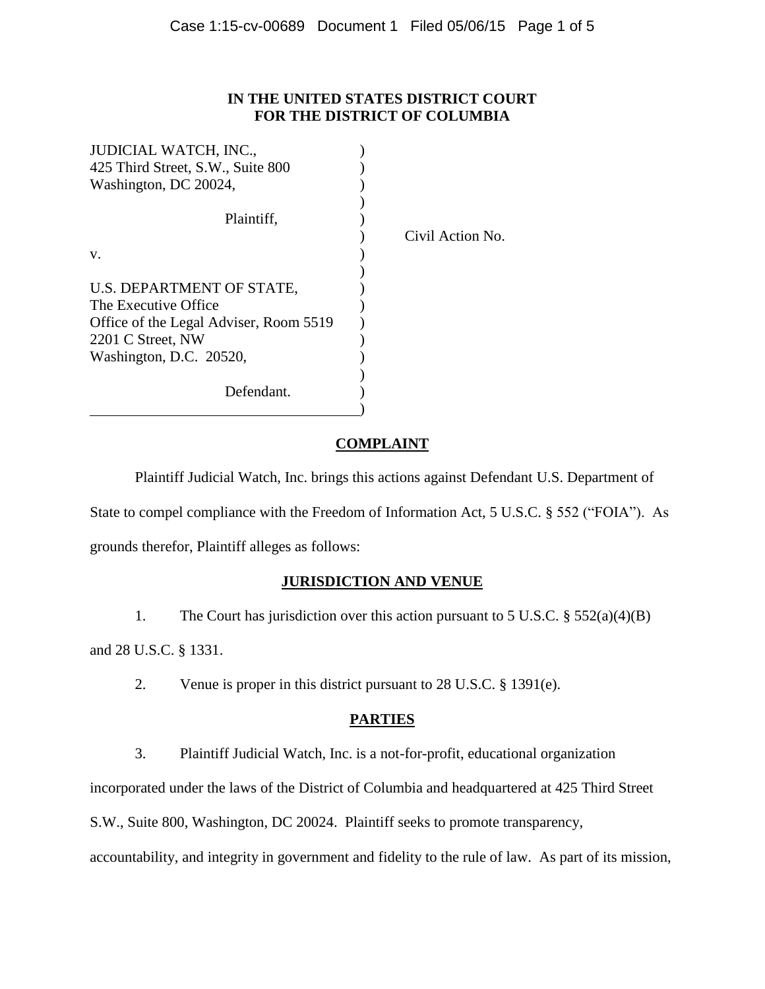## **IN THE UNITED STATES DISTRICT COURT FOR THE DISTRICT OF COLUMBIA**

| <b>JUDICIAL WATCH, INC.,</b>           |                  |
|----------------------------------------|------------------|
| 425 Third Street, S.W., Suite 800      |                  |
| Washington, DC 20024,                  |                  |
|                                        |                  |
| Plaintiff,                             |                  |
|                                        | Civil Action No. |
| V.                                     |                  |
|                                        |                  |
| U.S. DEPARTMENT OF STATE,              |                  |
| The Executive Office                   |                  |
| Office of the Legal Adviser, Room 5519 |                  |
| 2201 C Street, NW                      |                  |
| Washington, D.C. 20520,                |                  |
|                                        |                  |
| Defendant.                             |                  |
|                                        |                  |

# **COMPLAINT**

Plaintiff Judicial Watch, Inc. brings this actions against Defendant U.S. Department of State to compel compliance with the Freedom of Information Act, 5 U.S.C. § 552 ("FOIA"). As grounds therefor, Plaintiff alleges as follows:

# **JURISDICTION AND VENUE**

1. The Court has jurisdiction over this action pursuant to 5 U.S.C. § 552(a)(4)(B)

and 28 U.S.C. § 1331.

2. Venue is proper in this district pursuant to 28 U.S.C. § 1391(e).

# **PARTIES**

3. Plaintiff Judicial Watch, Inc. is a not-for-profit, educational organization

incorporated under the laws of the District of Columbia and headquartered at 425 Third Street

S.W., Suite 800, Washington, DC 20024. Plaintiff seeks to promote transparency,

accountability, and integrity in government and fidelity to the rule of law. As part of its mission,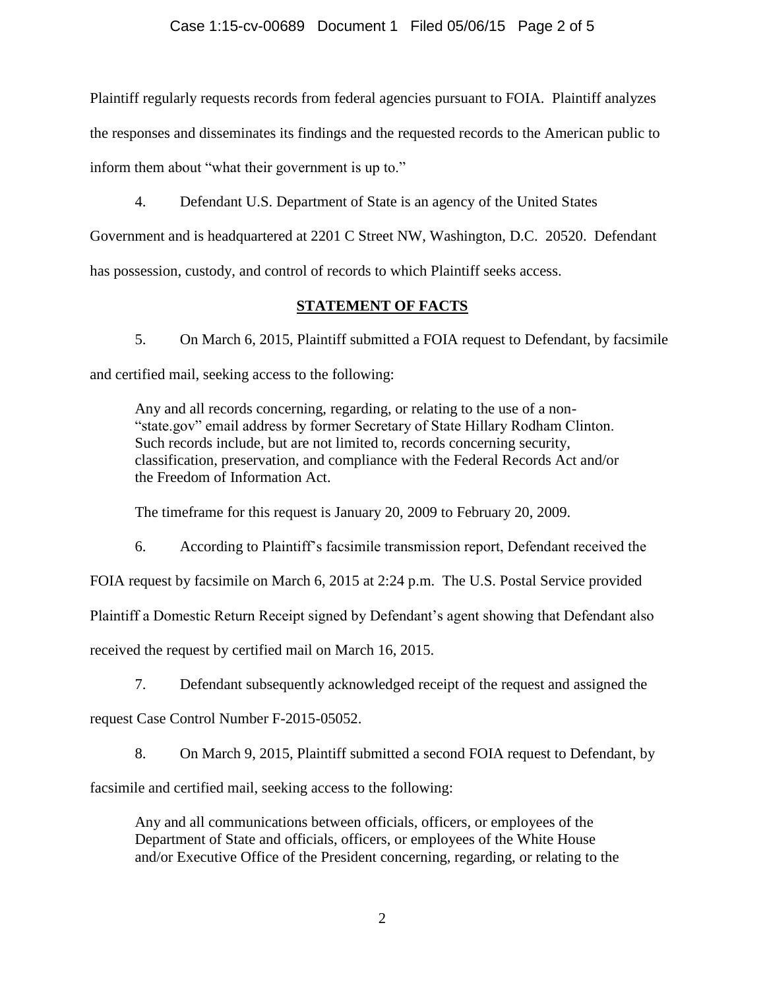### Case 1:15-cv-00689 Document 1 Filed 05/06/15 Page 2 of 5

Plaintiff regularly requests records from federal agencies pursuant to FOIA. Plaintiff analyzes

the responses and disseminates its findings and the requested records to the American public to

inform them about "what their government is up to."

4. Defendant U.S. Department of State is an agency of the United States

Government and is headquartered at 2201 C Street NW, Washington, D.C. 20520. Defendant has possession, custody, and control of records to which Plaintiff seeks access.

## **STATEMENT OF FACTS**

5. On March 6, 2015, Plaintiff submitted a FOIA request to Defendant, by facsimile and certified mail, seeking access to the following:

Any and all records concerning, regarding, or relating to the use of a non- "state.gov" email address by former Secretary of State Hillary Rodham Clinton. Such records include, but are not limited to, records concerning security, classification, preservation, and compliance with the Federal Records Act and/or the Freedom of Information Act.

The timeframe for this request is January 20, 2009 to February 20, 2009.

6. According to Plaintiff's facsimile transmission report, Defendant received the

FOIA request by facsimile on March 6, 2015 at 2:24 p.m. The U.S. Postal Service provided

Plaintiff a Domestic Return Receipt signed by Defendant's agent showing that Defendant also

received the request by certified mail on March 16, 2015.

7. Defendant subsequently acknowledged receipt of the request and assigned the

request Case Control Number F-2015-05052.

8. On March 9, 2015, Plaintiff submitted a second FOIA request to Defendant, by

facsimile and certified mail, seeking access to the following:

Any and all communications between officials, officers, or employees of the Department of State and officials, officers, or employees of the White House and/or Executive Office of the President concerning, regarding, or relating to the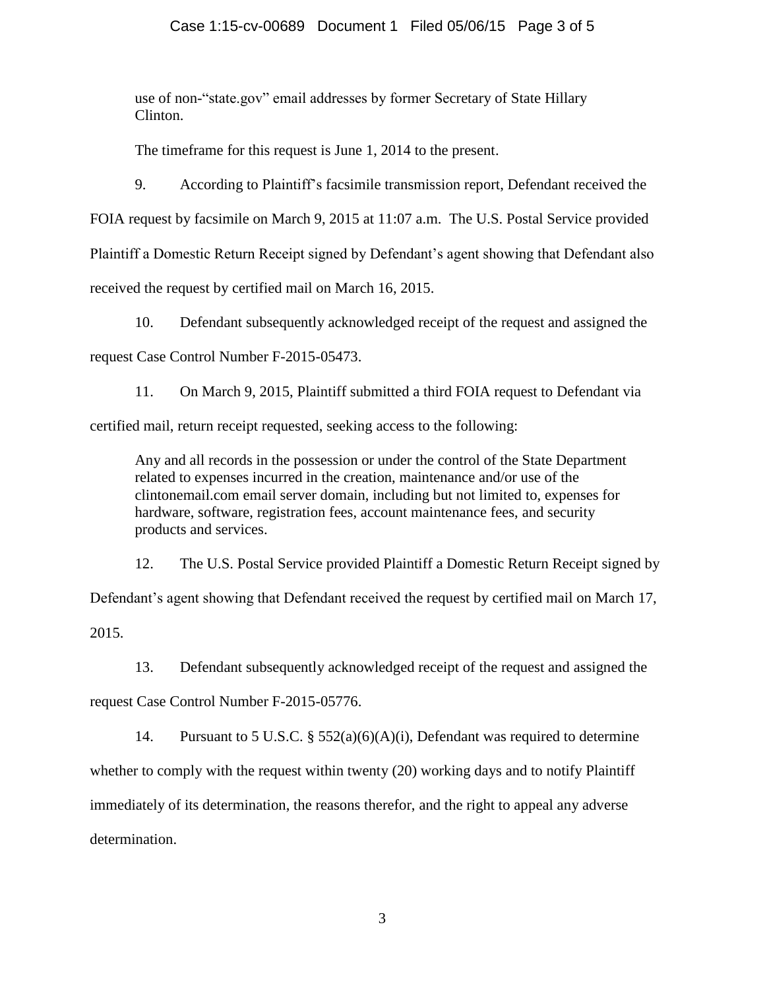### Case 1:15-cv-00689 Document 1 Filed 05/06/15 Page 3 of 5

use of non-"state.gov" email addresses by former Secretary of State Hillary Clinton.

The timeframe for this request is June 1, 2014 to the present.

9. According to Plaintiff's facsimile transmission report, Defendant received the

FOIA request by facsimile on March 9, 2015 at 11:07 a.m. The U.S. Postal Service provided

Plaintiff a Domestic Return Receipt signed by Defendant's agent showing that Defendant also

received the request by certified mail on March 16, 2015.

10. Defendant subsequently acknowledged receipt of the request and assigned the request Case Control Number F-2015-05473.

11. On March 9, 2015, Plaintiff submitted a third FOIA request to Defendant via certified mail, return receipt requested, seeking access to the following:

Any and all records in the possession or under the control of the State Department related to expenses incurred in the creation, maintenance and/or use of the clintonemail.com email server domain, including but not limited to, expenses for hardware, software, registration fees, account maintenance fees, and security products and services.

12. The U.S. Postal Service provided Plaintiff a Domestic Return Receipt signed by Defendant's agent showing that Defendant received the request by certified mail on March 17, 2015.

13. Defendant subsequently acknowledged receipt of the request and assigned the

request Case Control Number F-2015-05776.

14. Pursuant to 5 U.S.C. § 552(a)(6)(A)(i), Defendant was required to determine whether to comply with the request within twenty (20) working days and to notify Plaintiff immediately of its determination, the reasons therefor, and the right to appeal any adverse determination.

3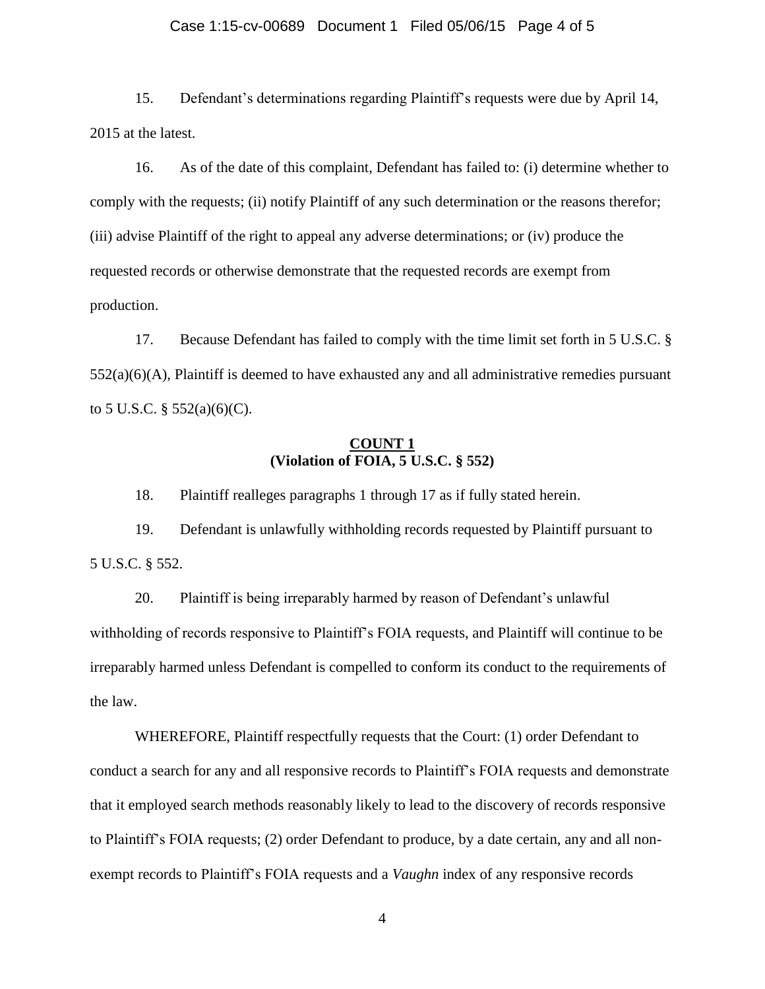#### Case 1:15-cv-00689 Document 1 Filed 05/06/15 Page 4 of 5

15. Defendant's determinations regarding Plaintiff's requests were due by April 14, 2015 at the latest.

16. As of the date of this complaint, Defendant has failed to: (i) determine whether to comply with the requests; (ii) notify Plaintiff of any such determination or the reasons therefor; (iii) advise Plaintiff of the right to appeal any adverse determinations; or (iv) produce the requested records or otherwise demonstrate that the requested records are exempt from production.

17. Because Defendant has failed to comply with the time limit set forth in 5 U.S.C. §  $552(a)(6)(A)$ , Plaintiff is deemed to have exhausted any and all administrative remedies pursuant to 5 U.S.C.  $\S$  552(a)(6)(C).

### **COUNT 1 (Violation of FOIA, 5 U.S.C. § 552)**

18. Plaintiff realleges paragraphs 1 through 17 as if fully stated herein.

19. Defendant is unlawfully withholding records requested by Plaintiff pursuant to 5 U.S.C. § 552.

20. Plaintiff is being irreparably harmed by reason of Defendant's unlawful withholding of records responsive to Plaintiff's FOIA requests, and Plaintiff will continue to be irreparably harmed unless Defendant is compelled to conform its conduct to the requirements of the law.

WHEREFORE, Plaintiff respectfully requests that the Court: (1) order Defendant to conduct a search for any and all responsive records to Plaintiff's FOIA requests and demonstrate that it employed search methods reasonably likely to lead to the discovery of records responsive to Plaintiff's FOIA requests; (2) order Defendant to produce, by a date certain, any and all nonexempt records to Plaintiff's FOIA requests and a *Vaughn* index of any responsive records

4